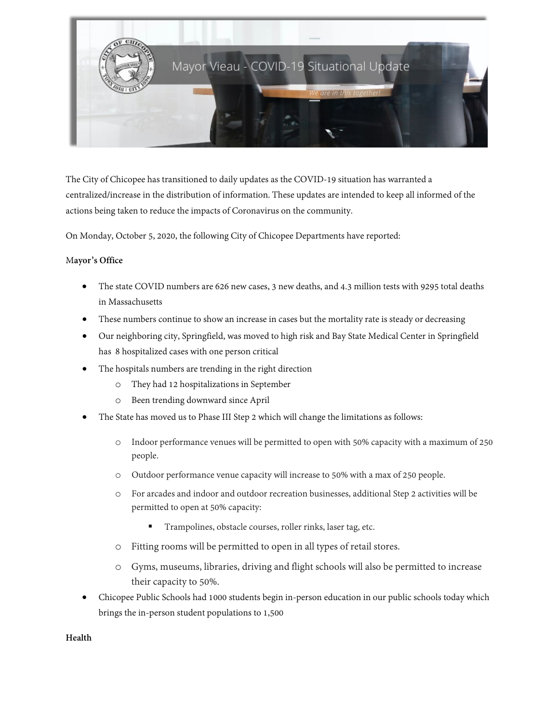

The City of Chicopee has transitioned to daily updates as the COVID-19 situation has warranted a centralized/increase in the distribution of information. These updates are intended to keep all informed of the actions being taken to reduce the impacts of Coronavirus on the community.

On Monday, October 5, 2020, the following City of Chicopee Departments have reported:

### M**ayor's Office**

- The state COVID numbers are 626 new cases, 3 new deaths, and 4.3 million tests with 9295 total deaths in Massachusetts
- These numbers continue to show an increase in cases but the mortality rate is steady or decreasing
- Our neighboring city, Springfield, was moved to high risk and Bay State Medical Center in Springfield has 8 hospitalized cases with one person critical
- The hospitals numbers are trending in the right direction
	- o They had 12 hospitalizations in September
	- o Been trending downward since April
- The State has moved us to Phase III Step 2 which will change the limitations as follows:
	- o Indoor performance venues will be permitted to open with 50% capacity with a maximum of 250 people.
	- o Outdoor performance venue capacity will increase to 50% with a max of 250 people.
	- o For arcades and indoor and outdoor recreation businesses, additional Step 2 activities will be permitted to open at 50% capacity:
		- Trampolines, obstacle courses, roller rinks, laser tag, etc.
	- o Fitting rooms will be permitted to open in all types of retail stores.
	- o Gyms, museums, libraries, driving and flight schools will also be permitted to increase their capacity to 50%.
- Chicopee Public Schools had 1000 students begin in-person education in our public schools today which brings the in-person student populations to 1,500

**Health**